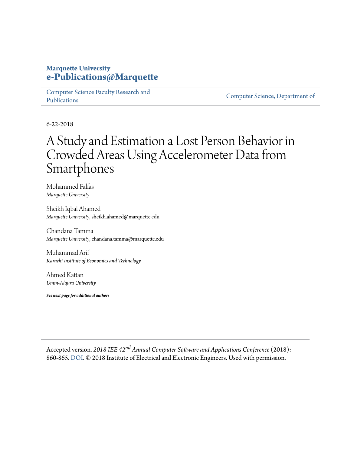## **Marquette University [e-Publications@Marquette](https://epublications.marquette.edu/)**

[Computer Science Faculty Research and](https://epublications.marquette.edu/comp_fac) [Publications](https://epublications.marquette.edu/comp_fac)

[Computer Science, Department of](https://epublications.marquette.edu/comp)

6-22-2018

## A Study and Estimation a Lost Person Behavior in Crowded Areas Using Accelerometer Data from Smartphones

Mohammed Falfas *Marquette University*

Sheikh Iqbal Ahamed *Marquette University*, sheikh.ahamed@marquette.edu

Chandana Tamma *Marquette University*, chandana.tamma@marquette.edu

Muhammad Arif *Karachi Institute of Economics and Technology*

Ahmed Kattan *Umm-Alqura University*

*See next page for additional authors*

Accepted version. *2018 IEE 42nd Annual Computer Software and Applications Conference* (2018): 860-865. [DOI.](https://dx.doi.org/10.1109/COMPSAC.2018.00149) © 2018 Institute of Electrical and Electronic Engineers. Used with permission.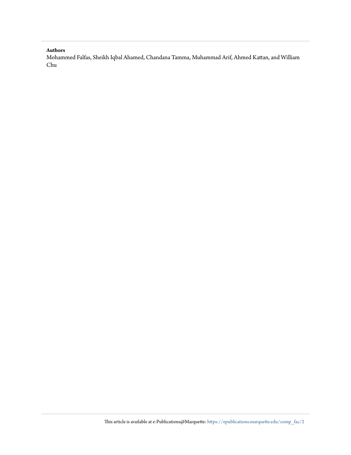#### **Authors**

Mohammed Falfas, Sheikh Iqbal Ahamed, Chandana Tamma, Muhammad Arif, Ahmed Kattan, and William Chu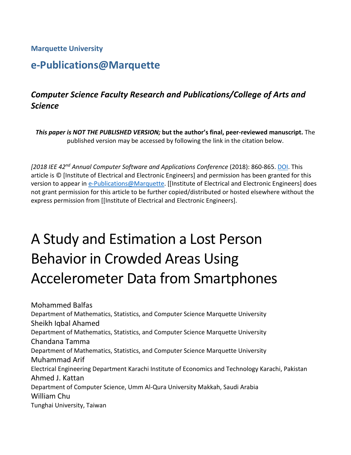#### **Marquette University**

## **e-Publications@Marquette**

## *Computer Science Faculty Research and Publications/College of Arts and Science*

*This paper is NOT THE PUBLISHED VERSION;* **but the author's final, peer-reviewed manuscript.** The published version may be accessed by following the link in the citation below.

*[2018 IEE 42nd Annual Computer Software and Applications Conference* (2018): 860-865. [DOI.](https://dx.doi.org/10.1109/COMPSAC.2018.00149) This article is © [Institute of Electrical and Electronic Engineers] and permission has been granted for this version to appear in [e-Publications@Marquette.](http://epublications.marquette.edu/) [[Institute of Electrical and Electronic Engineers] does not grant permission for this article to be further copied/distributed or hosted elsewhere without the express permission from [[Institute of Electrical and Electronic Engineers].

# A Study and Estimation a Lost Person Behavior in Crowded Areas Using Accelerometer Data from Smartphones

Mohammed Balfas Department of Mathematics, Statistics, and Computer Science Marquette University Sheikh Iqbal Ahamed Department of Mathematics, Statistics, and Computer Science Marquette University Chandana Tamma Department of Mathematics, Statistics, and Computer Science Marquette University Muhammad Arif Electrical Engineering Department Karachi Institute of Economics and Technology Karachi, Pakistan Ahmed J. Kattan Department of Computer Science, Umm Al-Qura University Makkah, Saudi Arabia William Chu Tunghai University, Taiwan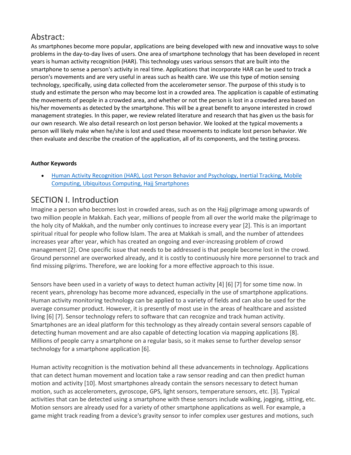## Abstract:

As smartphones become more popular, applications are being developed with new and innovative ways to solve problems in the day-to-day lives of users. One area of smartphone technology that has been developed in recent years is human activity recognition (HAR). This technology uses various sensors that are built into the smartphone to sense a person's activity in real time. Applications that incorporate HAR can be used to track a person's movements and are very useful in areas such as health care. We use this type of motion sensing technology, specifically, using data collected from the accelerometer sensor. The purpose of this study is to study and estimate the person who may become lost in a crowded area. The application is capable of estimating the movements of people in a crowded area, and whether or not the person is lost in a crowded area based on his/her movements as detected by the smartphone. This will be a great benefit to anyone interested in crowd management strategies. In this paper, we review related literature and research that has given us the basis for our own research. We also detail research on lost person behavior. We looked at the typical movements a person will likely make when he/she is lost and used these movements to indicate lost person behavior. We then evaluate and describe the creation of the application, all of its components, and the testing process.

#### **Author Keywords**

• [Human Activity Recognition \(HAR\), Lost Person Behavior and Psychology, Inertial Tracking, Mobile](https://ieeexplore.ieee.org/search/searchresult.jsp?matchBoolean=true&queryText=%22Index%20Terms%22:Human%20Activity%20Recognition%20HAR,%20Lost%20Person%20Behavior%20and%20Psychology,%20Inertial%20Tracking,%20Mobile%20Computing,%20Ubiquitous%20Computing,%20Hajj%20Smartphones&newsearch=true)  [Computing, Ubiquitous Computing, Hajj Smartphones](https://ieeexplore.ieee.org/search/searchresult.jsp?matchBoolean=true&queryText=%22Index%20Terms%22:Human%20Activity%20Recognition%20HAR,%20Lost%20Person%20Behavior%20and%20Psychology,%20Inertial%20Tracking,%20Mobile%20Computing,%20Ubiquitous%20Computing,%20Hajj%20Smartphones&newsearch=true)

## SECTION I. Introduction

Imagine a person who becomes lost in crowded areas, such as on the Hajj pilgrimage among upwards of two million people in Makkah. Each year, millions of people from all over the world make the pilgrimage to the holy city of Makkah, and the number only continues to increase every year [2]. This is an important spiritual ritual for people who follow Islam. The area at Makkah is small, and the number of attendees increases year after year, which has created an ongoing and ever-increasing problem of crowd management [2]. One specific issue that needs to be addressed is that people become lost in the crowd. Ground personnel are overworked already, and it is costly to continuously hire more personnel to track and find missing pilgrims. Therefore, we are looking for a more effective approach to this issue.

Sensors have been used in a variety of ways to detect human activity [4] [6] [7] for some time now. In recent years, phrenology has become more advanced, especially in the use of smartphone applications. Human activity monitoring technology can be applied to a variety of fields and can also be used for the average consumer product. However, it is presently of most use in the areas of healthcare and assisted living [6] [7]. Sensor technology refers to software that can recognize and track human activity. Smartphones are an ideal platform for this technology as they already contain several sensors capable of detecting human movement and are also capable of detecting location via mapping applications [8]. Millions of people carry a smartphone on a regular basis, so it makes sense to further develop sensor technology for a smartphone application [6].

Human activity recognition is the motivation behind all these advancements in technology. Applications that can detect human movement and location take a raw sensor reading and can then predict human motion and activity [10]. Most smartphones already contain the sensors necessary to detect human motion, such as accelerometers, gyroscope, GPS, light sensors, temperature sensors, etc. [3]. Typical activities that can be detected using a smartphone with these sensors include walking, jogging, sitting, etc. Motion sensors are already used for a variety of other smartphone applications as well. For example, a game might track reading from a device's gravity sensor to infer complex user gestures and motions, such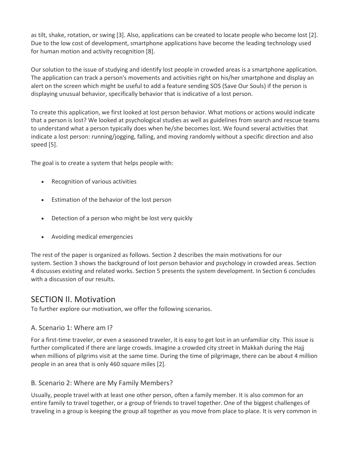as tilt, shake, rotation, or swing [3]. Also, applications can be created to locate people who become lost [2]. Due to the low cost of development, smartphone applications have become the leading technology used for human motion and activity recognition [8].

Our solution to the issue of studying and identify lost people in crowded areas is a smartphone application. The application can track a person's movements and activities right on his/her smartphone and display an alert on the screen which might be useful to add a feature sending SOS (Save Our Souls) if the person is displaying unusual behavior, specifically behavior that is indicative of a lost person.

To create this application, we first looked at lost person behavior. What motions or actions would indicate that a person is lost? We looked at psychological studies as well as guidelines from search and rescue teams to understand what a person typically does when he/she becomes lost. We found several activities that indicate a lost person: running/jogging, falling, and moving randomly without a specific direction and also speed [5].

The goal is to create a system that helps people with:

- Recognition of various activities
- Estimation of the behavior of the lost person
- Detection of a person who might be lost very quickly
- Avoiding medical emergencies

The rest of the paper is organized as follows. Section 2 describes the main motivations for our system. Section 3 shows the background of lost person behavior and psychology in crowded areas. Section 4 discusses existing and related works. Section 5 presents the system development. In Section 6 concludes with a discussion of our results.

#### SECTION II. Motivation

To further explore our motivation, we offer the following scenarios.

#### A. Scenario 1: Where am I?

For a first-time traveler, or even a seasoned traveler, it is easy to get lost in an unfamiliar city. This issue is further complicated if there are large crowds. Imagine a crowded city street in Makkah during the Hajj when millions of pilgrims visit at the same time. During the time of pilgrimage, there can be about 4 million people in an area that is only 460 square miles [2].

#### B. Scenario 2: Where are My Family Members?

Usually, people travel with at least one other person, often a family member. It is also common for an entire family to travel together, or a group of friends to travel together. One of the biggest challenges of traveling in a group is keeping the group all together as you move from place to place. It is very common in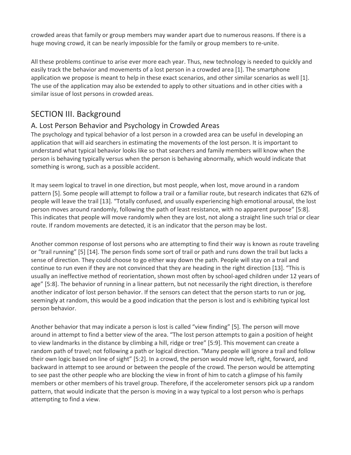crowded areas that family or group members may wander apart due to numerous reasons. If there is a huge moving crowd, it can be nearly impossible for the family or group members to re-unite.

All these problems continue to arise ever more each year. Thus, new technology is needed to quickly and easily track the behavior and movements of a lost person in a crowded area [1]. The smartphone application we propose is meant to help in these exact scenarios, and other similar scenarios as well [1]. The use of the application may also be extended to apply to other situations and in other cities with a similar issue of lost persons in crowded areas.

## SECTION III. Background

#### A. Lost Person Behavior and Psychology in Crowded Areas

The psychology and typical behavior of a lost person in a crowded area can be useful in developing an application that will aid searchers in estimating the movements of the lost person. It is important to understand what typical behavior looks like so that searchers and family members will know when the person is behaving typically versus when the person is behaving abnormally, which would indicate that something is wrong, such as a possible accident.

It may seem logical to travel in one direction, but most people, when lost, move around in a random pattern [5]. Some people will attempt to follow a trail or a familiar route, but research indicates that 62% of people will leave the trail [13]. "Totally confused, and usually experiencing high emotional arousal, the lost person moves around randomly, following the path of least resistance, with no apparent purpose" [5:8]. This indicates that people will move randomly when they are lost, not along a straight line such trial or clear route. If random movements are detected, it is an indicator that the person may be lost.

Another common response of lost persons who are attempting to find their way is known as route traveling or "trail running" [5] [14]. The person finds some sort of trail or path and runs down the trail but lacks a sense of direction. They could choose to go either way down the path. People will stay on a trail and continue to run even if they are not convinced that they are heading in the right direction [13]. "This is usually an ineffective method of reorientation, shown most often by school-aged children under 12 years of age" [5:8]. The behavior of running in a linear pattern, but not necessarily the right direction, is therefore another indicator of lost person behavior. If the sensors can detect that the person starts to run or jog, seemingly at random, this would be a good indication that the person is lost and is exhibiting typical lost person behavior.

Another behavior that may indicate a person is lost is called "view finding" [5]. The person will move around in attempt to find a better view of the area. "The lost person attempts to gain a position of height to view landmarks in the distance by climbing a hill, ridge or tree" [5:9]. This movement can create a random path of travel; not following a path or logical direction. "Many people will ignore a trail and follow their own logic based on line of sight" [5:2]. In a crowd, the person would move left, right, forward, and backward in attempt to see around or between the people of the crowd. The person would be attempting to see past the other people who are blocking the view in front of him to catch a glimpse of his family members or other members of his travel group. Therefore, if the accelerometer sensors pick up a random pattern, that would indicate that the person is moving in a way typical to a lost person who is perhaps attempting to find a view.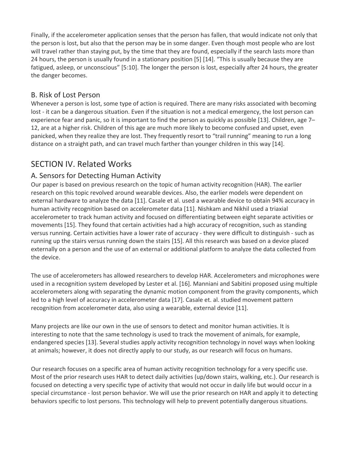Finally, if the accelerometer application senses that the person has fallen, that would indicate not only that the person is lost, but also that the person may be in some danger. Even though most people who are lost will travel rather than staying put, by the time that they are found, especially if the search lasts more than 24 hours, the person is usually found in a stationary position [5] [14]. "This is usually because they are fatigued, asleep, or unconscious" [5:10]. The longer the person is lost, especially after 24 hours, the greater the danger becomes.

#### B. Risk of Lost Person

Whenever a person is lost, some type of action is required. There are many risks associated with becoming lost - it can be a dangerous situation. Even if the situation is not a medical emergency, the lost person can experience fear and panic, so it is important to find the person as quickly as possible [13]. Children, age 7– 12, are at a higher risk. Children of this age are much more likely to become confused and upset, even panicked, when they realize they are lost. They frequently resort to "trail running" meaning to run a long distance on a straight path, and can travel much farther than younger children in this way [14].

## SECTION IV. Related Works

#### A. Sensors for Detecting Human Activity

Our paper is based on previous research on the topic of human activity recognition (HAR). The earlier research on this topic revolved around wearable devices. Also, the earlier models were dependent on external hardware to analyze the data [11]. Casale et al. used a wearable device to obtain 94% accuracy in human activity recognition based on accelerometer data [11]. Nishkam and Nikhil used a triaxial accelerometer to track human activity and focused on differentiating between eight separate activities or movements [15]. They found that certain activities had a high accuracy of recognition, such as standing versus running. Certain activities have a lower rate of accuracy - they were difficult to distinguish - such as running up the stairs versus running down the stairs [15]. All this research was based on a device placed externally on a person and the use of an external or additional platform to analyze the data collected from the device.

The use of accelerometers has allowed researchers to develop HAR. Accelerometers and microphones were used in a recognition system developed by Lester et al. [16]. Manniani and Sabitini proposed using multiple accelerometers along with separating the dynamic motion component from the gravity components, which led to a high level of accuracy in accelerometer data [17]. Casale et. al. studied movement pattern recognition from accelerometer data, also using a wearable, external device [11].

Many projects are like our own in the use of sensors to detect and monitor human activities. It is interesting to note that the same technology is used to track the movement of animals, for example, endangered species [13]. Several studies apply activity recognition technology in novel ways when looking at animals; however, it does not directly apply to our study, as our research will focus on humans.

Our research focuses on a specific area of human activity recognition technology for a very specific use. Most of the prior research uses HAR to detect daily activities (up/down stairs, walking, etc.). Our research is focused on detecting a very specific type of activity that would not occur in daily life but would occur in a special circumstance - lost person behavior. We will use the prior research on HAR and apply it to detecting behaviors specific to lost persons. This technology will help to prevent potentially dangerous situations.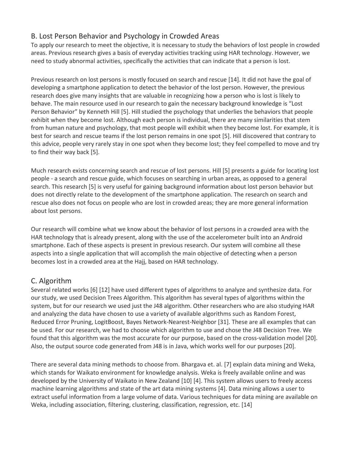#### B. Lost Person Behavior and Psychology in Crowded Areas

To apply our research to meet the objective, it is necessary to study the behaviors of lost people in crowded areas. Previous research gives a basis of everyday activities tracking using HAR technology. However, we need to study abnormal activities, specifically the activities that can indicate that a person is lost.

Previous research on lost persons is mostly focused on search and rescue [14]. It did not have the goal of developing a smartphone application to detect the behavior of the lost person. However, the previous research does give many insights that are valuable in recognizing how a person who is lost is likely to behave. The main resource used in our research to gain the necessary background knowledge is "Lost Person Behavior" by Kenneth Hill [5]. Hill studied the psychology that underlies the behaviors that people exhibit when they become lost. Although each person is individual, there are many similarities that stem from human nature and psychology, that most people will exhibit when they become lost. For example, it is best for search and rescue teams if the lost person remains in one spot [5]. Hill discovered that contrary to this advice, people very rarely stay in one spot when they become lost; they feel compelled to move and try to find their way back [5].

Much research exists concerning search and rescue of lost persons. Hill [5] presents a guide for locating lost people - a search and rescue guide, which focuses on searching in urban areas, as opposed to a general search. This research [5] is very useful for gaining background information about lost person behavior but does not directly relate to the development of the smartphone application. The research on search and rescue also does not focus on people who are lost in crowded areas; they are more general information about lost persons.

Our research will combine what we know about the behavior of lost persons in a crowded area with the HAR technology that is already present, along with the use of the accelerometer built into an Android smartphone. Each of these aspects is present in previous research. Our system will combine all these aspects into a single application that will accomplish the main objective of detecting when a person becomes lost in a crowded area at the Hajj, based on HAR technology.

#### C. Algorithm

Several related works [6] [12] have used different types of algorithms to analyze and synthesize data. For our study, we used Decision Trees Algorithm. This algorithm has several types of algorithms within the system, but for our research we used just the J48 algorithm. Other researchers who are also studying HAR and analyzing the data have chosen to use a variety of available algorithms such as Random Forest, Reduced Error Pruning, LogitBoost, Bayes Network-Nearest-Neighbor [31]. These are all examples that can be used. For our research, we had to choose which algorithm to use and chose the J48 Decision Tree. We found that this algorithm was the most accurate for our purpose, based on the cross-validation model [20]. Also, the output source code generated from J48 is in Java, which works well for our purposes [20].

There are several data mining methods to choose from. Bhargava et. al. [7] explain data mining and Weka, which stands for Waikato environment for knowledge analysis. Weka is freely available online and was developed by the University of Waikato in New Zealand [10] [4]. This system allows users to freely access machine learning algorithms and state of the art data mining systems [4]. Data mining allows a user to extract useful information from a large volume of data. Various techniques for data mining are available on Weka, including association, filtering, clustering, classification, regression, etc. [14]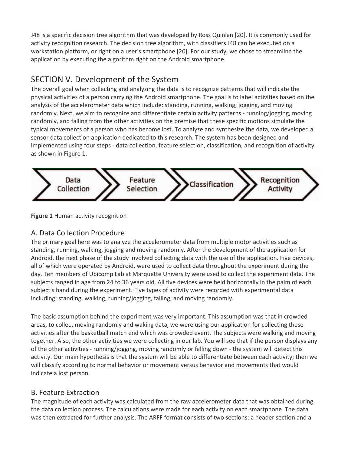J48 is a specific decision tree algorithm that was developed by Ross Quinlan [20]. It is commonly used for activity recognition research. The decision tree algorithm, with classifiers J48 can be executed on a workstation platform, or right on a user's smartphone [20]. For our study, we chose to streamline the application by executing the algorithm right on the Android smartphone.

## SECTION V. Development of the System

The overall goal when collecting and analyzing the data is to recognize patterns that will indicate the physical activities of a person carrying the Android smartphone. The goal is to label activities based on the analysis of the accelerometer data which include: standing, running, walking, jogging, and moving randomly. Next, we aim to recognize and differentiate certain activity patterns - running/jogging, moving randomly, and falling from the other activities on the premise that these specific motions simulate the typical movements of a person who has become lost. To analyze and synthesize the data, we developed a sensor data collection application dedicated to this research. The system has been designed and implemented using four steps - data collection, feature selection, classification, and recognition of activity as shown in Figure 1.



**Figure 1** Human activity recognition

#### A. Data Collection Procedure

The primary goal here was to analyze the accelerometer data from multiple motor activities such as standing, running, walking, jogging and moving randomly. After the development of the application for Android, the next phase of the study involved collecting data with the use of the application. Five devices, all of which were operated by Android, were used to collect data throughout the experiment during the day. Ten members of Ubicomp Lab at Marquette University were used to collect the experiment data. The subjects ranged in age from 24 to 36 years old. All five devices were held horizontally in the palm of each subject's hand during the experiment. Five types of activity were recorded with experimental data including: standing, walking, running/jogging, falling, and moving randomly.

The basic assumption behind the experiment was very important. This assumption was that in crowded areas, to collect moving randomly and waking data, we were using our application for collecting these activities after the basketball match end which was crowded event. The subjects were walking and moving together. Also, the other activities we were collecting in our lab. You will see that if the person displays any of the other activities - running/jogging, moving randomly or falling down - the system will detect this activity. Our main hypothesis is that the system will be able to differentiate between each activity; then we will classify according to normal behavior or movement versus behavior and movements that would indicate a lost person.

#### B. Feature Extraction

The magnitude of each activity was calculated from the raw accelerometer data that was obtained during the data collection process. The calculations were made for each activity on each smartphone. The data was then extracted for further analysis. The ARFF format consists of two sections: a header section and a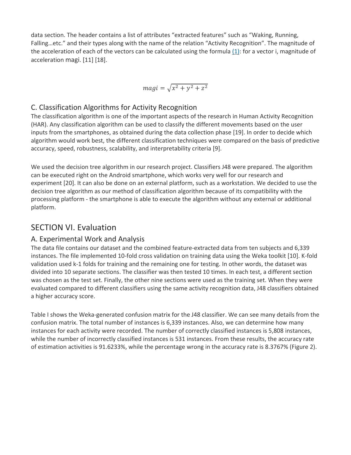data section. The header contains a list of attributes "extracted features" such as "Waking, Running, Falling…etc." and their types along with the name of the relation "Activity Recognition". The magnitude of the acceleration of each of the vectors can be calculated using the formula [\(1\):](https://ieeexplore.ieee.org/document/#deqn1) for a vector i, magnitude of acceleration magi. [11] [18].

$$
magi = \sqrt{x^2 + y^2 + z^2}
$$

#### C. Classification Algorithms for Activity Recognition

The classification algorithm is one of the important aspects of the research in Human Activity Recognition (HAR). Any classification algorithm can be used to classify the different movements based on the user inputs from the smartphones, as obtained during the data collection phase [19]. In order to decide which algorithm would work best, the different classification techniques were compared on the basis of predictive accuracy, speed, robustness, scalability, and interpretability criteria [9].

We used the decision tree algorithm in our research project. Classifiers J48 were prepared. The algorithm can be executed right on the Android smartphone, which works very well for our research and experiment [20]. It can also be done on an external platform, such as a workstation. We decided to use the decision tree algorithm as our method of classification algorithm because of its compatibility with the processing platform - the smartphone is able to execute the algorithm without any external or additional platform.

## SECTION VI. Evaluation

#### A. Experimental Work and Analysis

The data file contains our dataset and the combined feature-extracted data from ten subjects and 6,339 instances. The file implemented 10-fold cross validation on training data using the Weka toolkit [10]. K-fold validation used k-1 folds for training and the remaining one for testing. In other words, the dataset was divided into 10 separate sections. The classifier was then tested 10 times. In each test, a different section was chosen as the test set. Finally, the other nine sections were used as the training set. When they were evaluated compared to different classifiers using the same activity recognition data, J48 classifiers obtained a higher accuracy score.

Table I shows the Weka-generated confusion matrix for the J48 classifier. We can see many details from the confusion matrix. The total number of instances is 6,339 instances. Also, we can determine how many instances for each activity were recorded. The number of correctly classified instances is 5,808 instances, while the number of incorrectly classified instances is 531 instances. From these results, the accuracy rate of estimation activities is 91.6233%, while the percentage wrong in the accuracy rate is 8.3767% (Figure 2).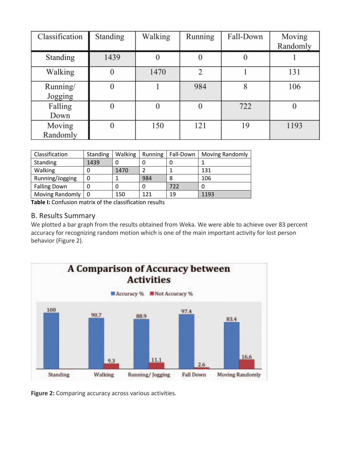| Classification      | Standing | Walking  | Running  | Fall-Down | Moving<br>Randomly |
|---------------------|----------|----------|----------|-----------|--------------------|
| Standing            | 1439     |          |          | $\theta$  |                    |
| Walking             |          | 1470     | 2        |           | 131                |
| Running/<br>Jogging |          |          | 984      | 8         | 106                |
| Falling<br>Down     | 0        | $\theta$ | $\theta$ | 722       | $\boldsymbol{0}$   |
| Moving<br>Randomly  |          | 150      | 121      | 19        | 1193               |

| Classification         | Standing | Walking | Running | Fall-Down | <b>Moving Randomly</b> |
|------------------------|----------|---------|---------|-----------|------------------------|
| Standing               | 1439     |         | U       |           |                        |
| Walking                |          | 1470    |         |           | 131                    |
| Running/Jogging        |          |         | 984     | 8         | 106                    |
| <b>Falling Down</b>    |          |         | O       | 722       |                        |
| <b>Moving Randomly</b> |          | 150     | 121     | 19        | 1193                   |

**Table I:** Confusion matrix of the classification results

#### B. Results Summary

We plotted a bar graph from the results obtained from Weka. We were able to achieve over 83 percent accuracy for recognizing random motion which is one of the main important activity for lost person behavior (Figure 2).



**Figure 2:** Comparing accuracy across various activities.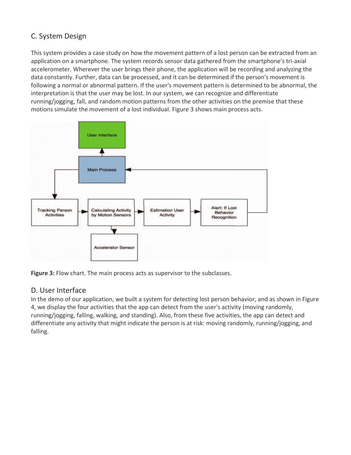#### C. System Design

This system provides a case study on how the movement pattern of a lost person can be extracted from an application on a smartphone. The system records sensor data gathered from the smartphone's tri-axial accelerometer. Wherever the user brings their phone, the application will be recording and analyzing the data constantly. Further, data can be processed, and it can be determined if the person's movement is following a normal or abnormal pattern. If the user's movement pattern is determined to be abnormal, the interpretation is that the user may be lost. In our system, we can recognize and differentiate running/jogging, fall, and random motion patterns from the other activities on the premise that these motions simulate the movement of a lost individual. Figure 3 shows main process acts.



**Figure 3:** Flow chart. The main process acts as supervisor to the subclasses.

#### D. User Interface

In the demo of our application, we built a system for detecting lost person behavior, and as shown in Figure 4, we display the four activities that the app can detect from the user's activity (moving randomly, running/jogging, falling, walking, and standing). Also, from these five activities, the app can detect and differentiate any activity that might indicate the person is at risk: moving randomly, running/jogging, and falling.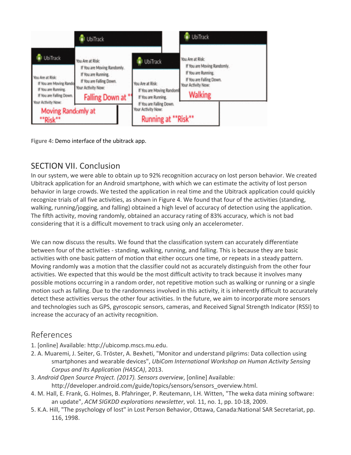

**Figure 4:** Demo interface of the ubitrack app.

## SECTION VII. Conclusion

In our system, we were able to obtain up to 92% recognition accuracy on lost person behavior. We created Ubitrack application for an Android smartphone, with which we can estimate the activity of lost person behavior in large crowds. We tested the application in real time and the Ubitrack application could quickly recognize trials of all five activities, as shown in Figure 4. We found that four of the activities (standing, walking, running/jogging, and falling) obtained a high level of accuracy of detection using the application. The fifth activity, moving randomly, obtained an accuracy rating of 83% accuracy, which is not bad considering that it is a difficult movement to track using only an accelerometer.

We can now discuss the results. We found that the classification system can accurately differentiate between four of the activities - standing, walking, running, and falling. This is because they are basic activities with one basic pattern of motion that either occurs one time, or repeats in a steady pattern. Moving randomly was a motion that the classifier could not as accurately distinguish from the other four activities. We expected that this would be the most difficult activity to track because it involves many possible motions occurring in a random order, not repetitive motion such as walking or running or a single motion such as falling. Due to the randomness involved in this activity, it is inherently difficult to accurately detect these activities versus the other four activities. In the future, we aim to incorporate more sensors and technologies such as GPS, gyroscopic sensors, cameras, and Received Signal Strength Indicator (RSSI) to increase the accuracy of an activity recognition.

#### References

- 1. [online] Available: http://ubicomp.mscs.mu.edu.
- 2. A. Muaremi, J. Seiter, G. Tröster, A. Bexheti, "Monitor and understand pilgrims: Data collection using smartphones and wearable devices", *UbiCom International Workshop on Human Activity Sensing Corpus and Its Application (HASCA)*, 2013.
- 3. *Android Open Source Project. (2017). Sensors overview*, [online] Available: http://developer.android.com/guide/topics/sensors/sensors\_overview.html.
- 4. M. Hall, E. Frank, G. Holmes, B. Pfahringer, P. Reutemann, I.H. Witten, "The weka data mining software: an update", *ACM SIGKDD explorations newsletter*, vol. 11, no. 1, pp. 10-18, 2009.
- 5. K.A. Hill, "The psychology of lost" in Lost Person Behavior, Ottawa, Canada:National SAR Secretariat, pp. 116, 1998.